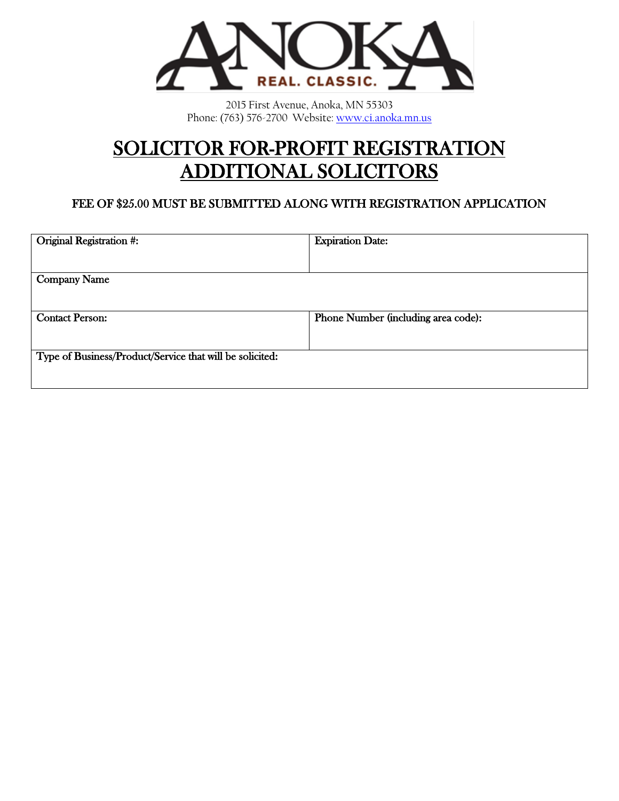

2015 First Avenue, Anoka, MN 55303 Phone: (763) 576-2700 Website[: www.ci.anoka.mn.us](http://www.ci.anoka.mn.us/)

# SOLICITOR FOR-PROFIT REGISTRATION ADDITIONAL SOLICITORS

#### FEE OF \$25.00 MUST BE SUBMITTED ALONG WITH REGISTRATION APPLICATION

| Original Registration #:                                 | <b>Expiration Date:</b>             |
|----------------------------------------------------------|-------------------------------------|
|                                                          |                                     |
| <b>Company Name</b>                                      |                                     |
|                                                          |                                     |
| <b>Contact Person:</b>                                   | Phone Number (including area code): |
|                                                          |                                     |
| Type of Business/Product/Service that will be solicited: |                                     |
|                                                          |                                     |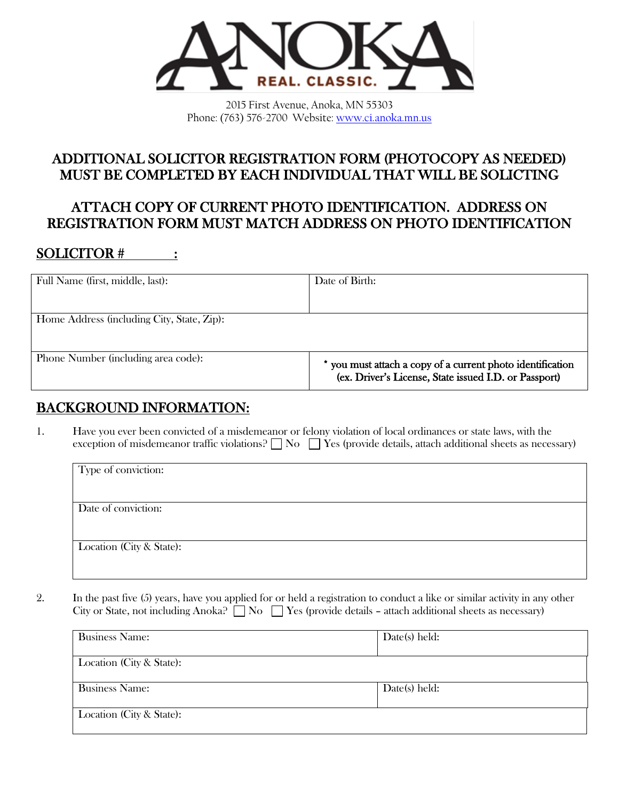

2015 First Avenue, Anoka, MN 55303 Phone: (763) 576-2700 Website[: www.ci.anoka.mn.us](http://www.ci.anoka.mn.us/)

## ADDITIONAL SOLICITOR REGISTRATION FORM (PHOTOCOPY AS NEEDED) MUST BE COMPLETED BY EACH INDIVIDUAL THAT WILL BE SOLICTING

# ATTACH COPY OF CURRENT PHOTO IDENTIFICATION. ADDRESS ON REGISTRATION FORM MUST MATCH ADDRESS ON PHOTO IDENTIFICATION

# SOLICITOR # :

| Full Name (first, middle, last):           | Date of Birth:                                                                                                    |
|--------------------------------------------|-------------------------------------------------------------------------------------------------------------------|
| Home Address (including City, State, Zip): |                                                                                                                   |
| Phone Number (including area code):        | you must attach a copy of a current photo identification<br>(ex. Driver's License, State issued I.D. or Passport) |

# BACKGROUND INFORMATION:

1. Have you ever been convicted of a misdemeanor or felony violation of local ordinances or state laws, with the exception of misdemeanor traffic violations?  $\Box$  No  $\Box$  Yes (provide details, attach additional sheets as necessary)

| Type of conviction:      |  |
|--------------------------|--|
|                          |  |
|                          |  |
| Date of conviction:      |  |
|                          |  |
|                          |  |
| Location (City & State): |  |
|                          |  |
|                          |  |

2. In the past five (5) years, have you applied for or held a registration to conduct a like or similar activity in any other City or State, not including Anoka?  $\Box$  No  $\Box$  Yes (provide details – attach additional sheets as necessary)

| <b>Business Name:</b>    | Date(s) held: |
|--------------------------|---------------|
| Location (City & State): |               |
| <b>Business Name:</b>    | Date(s) held: |
| Location (City & State): |               |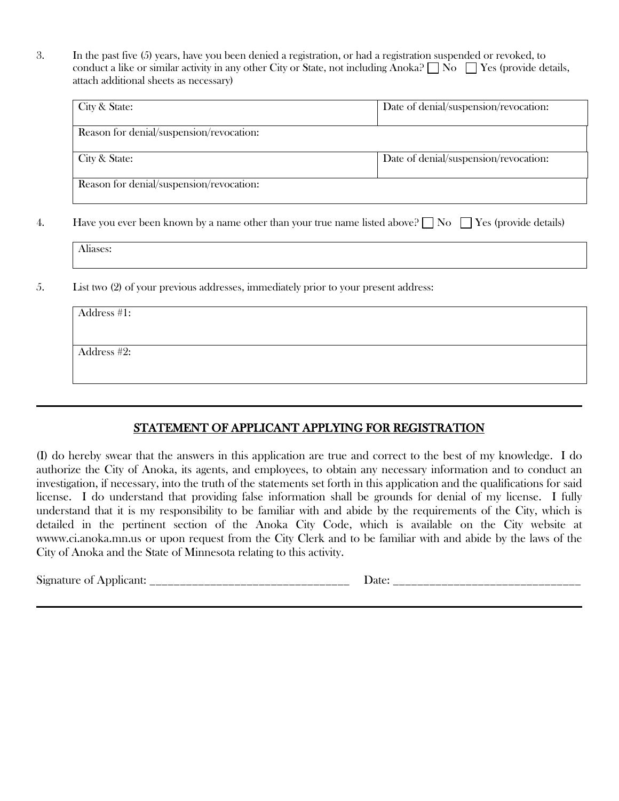3. In the past five (5) years, have you been denied a registration, or had a registration suspended or revoked, to conduct a like or similar activity in any other City or State, not including Anoka?  $\Box$  No  $\Box$  Yes (provide details, attach additional sheets as necessary)

| City & State:                            | Date of denial/suspension/revocation: |
|------------------------------------------|---------------------------------------|
| Reason for denial/suspension/revocation: |                                       |
| City & State:                            | Date of denial/suspension/revocation: |
| Reason for denial/suspension/revocation: |                                       |

4. Have you ever been known by a name other than your true name listed above?  $\Box$  No  $\Box$  Yes (provide details)

| .<br>Miases: |  |  |
|--------------|--|--|
|              |  |  |

5. List two (2) of your previous addresses, immediately prior to your present address:

| Address #1: |  |
|-------------|--|
|             |  |
| Address #2: |  |
|             |  |
|             |  |

#### STATEMENT OF APPLICANT APPLYING FOR REGISTRATION

(I) do hereby swear that the answers in this application are true and correct to the best of my knowledge. I do authorize the City of Anoka, its agents, and employees, to obtain any necessary information and to conduct an investigation, if necessary, into the truth of the statements set forth in this application and the qualifications for said license. I do understand that providing false information shall be grounds for denial of my license. I fully understand that it is my responsibility to be familiar with and abide by the requirements of the City, which is detailed in the pertinent section of the Anoka City Code, which is available on the City website at wwww.ci.anoka.mn.us or upon request from the City Clerk and to be familiar with and abide by the laws of the City of Anoka and the State of Minnesota relating to this activity.

Signature of Applicant: \_\_\_\_\_\_\_\_\_\_\_\_\_\_\_\_\_\_\_\_\_\_\_\_\_\_\_\_\_\_\_\_\_ Date: \_\_\_\_\_\_\_\_\_\_\_\_\_\_\_\_\_\_\_\_\_\_\_\_\_\_\_\_\_\_\_